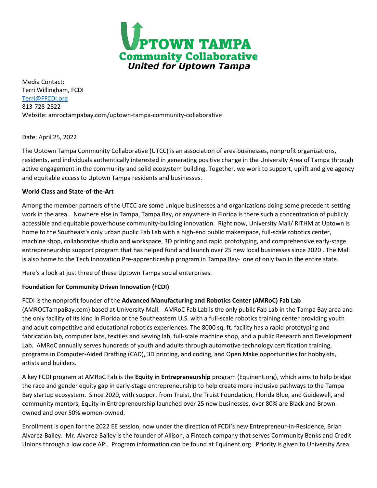

Media Contact: Terri Willingham, FCDI [Terri@FFCDI.org](mailto:Terri@FFCDI.org) 813-728-2822 Website: amroctampabay.com/uptown-tampa-community-collaborative

Date: April 25, 2022

The Uptown Tampa Community Collaborative (UTCC) is an association of area businesses, nonprofit organizations, residents, and individuals authentically interested in generating positive change in the University Area of Tampa through active engagement in the community and solid ecosystem building. Together, we work to support, uplift and give agency and equitable access to Uptown Tampa residents and businesses.

### **World Class and State-of-the-Art**

Among the member partners of the UTCC are some unique businesses and organizations doing some precedent-setting work in the area. Nowhere else in Tampa, Tampa Bay, or anywhere in Florida is there such a concentration of publicly accessible and equitable powerhouse community-building innovation. Right now, University Mall/ RITHM at Uptown is home to the Southeast's only urban public Fab Lab with a high-end public makerspace, full-scale robotics center, machine shop, collaborative studio and workspace, 3D printing and rapid prototyping, and comprehensive early-stage entrepreneurship support program that has helped fund and launch over 25 new local businesses since 2020 . The Mall is also home to the Tech Innovation Pre-apprenticeship program in Tampa Bay- one of only two in the entire state.

Here's a look at just three of these Uptown Tampa social enterprises.

## **Foundation for Community Driven Innovation (FCDI)**

## FCDI is the nonprofit founder of the **Advanced Manufacturing and Robotics Center (AMRoC) Fab Lab**

(AMROCTampaBay.com) based at University Mall. AMRoC Fab Lab is the only public Fab Lab in the Tampa Bay area and the only facility of its kind in Florida or the Southeastern U.S. with a full-scale robotics training center providing youth and adult competitive and educational robotics experiences. The 8000 sq. ft. facility has a rapid prototyping and fabrication lab, computer labs, textiles and sewing lab, full-scale machine shop, and a public Research and Development Lab. AMRoC annually serves hundreds of youth and adults through automotive technology certification training, programs in Computer-Aided Drafting (CAD), 3D printing, and coding, and Open Make opportunities for hobbyists, artists and builders.

A key FCDI program at AMRoC Fab is the **Equity in Entrepreneurship** program (Equinent.org), which aims to help bridge the race and gender equity gap in early-stage entrepreneurship to help create more inclusive pathways to the Tampa Bay startup ecosystem. Since 2020, with support from Truist, the Truist Foundation, Florida Blue, and Guidewell, and community mentors, Equity in Entrepreneurship launched over 25 new businesses, over 80% are Black and Brownowned and over 50% women-owned.

Enrollment is open for the 2022 EE session, now under the direction of FCDI's new Entrepreneur-in-Residence, Brian Alvarez-Bailey. Mr. Alvarez-Bailey is the founder of Allison, a Fintech company that serves Community Banks and Credit Unions through a low code API. Program information can be found at Equinent.org. Priority is given to University Area